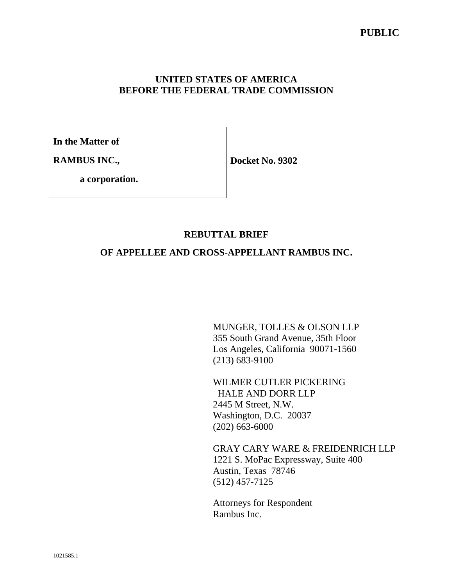### **UNITED STATES OF AMERICA BEFORE THE FEDERAL TRADE COMMISSION**

**In the Matter of** 

**RAMBUS INC.,** 

**Docket No. 9302** 

 **a corporation.**

## **REBUTTAL BRIEF**

### **OF APPELLEE AND CROSS-APPELLANT RAMBUS INC.**

MUNGER, TOLLES & OLSON LLP 355 South Grand Avenue, 35th Floor Los Angeles, California 90071-1560 (213) 683-9100

WILMER CUTLER PICKERING HALE AND DORR LLP 2445 M Street, N.W. Washington, D.C. 20037 (202) 663-6000

GRAY CARY WARE & FREIDENRICH LLP 1221 S. MoPac Expressway, Suite 400 Austin, Texas 78746 (512) 457-7125

Attorneys for Respondent Rambus Inc.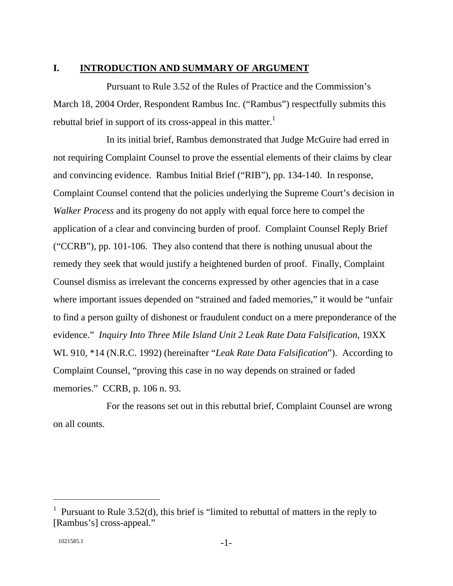### **I. INTRODUCTION AND SUMMARY OF ARGUMENT**

Pursuant to Rule 3.52 of the Rules of Practice and the Commission's March 18, 2004 Order, Respondent Rambus Inc. ("Rambus") respectfully submits this rebuttal brief in support of its cross-appeal in this matter.<sup>1</sup>

In its initial brief, Rambus demonstrated that Judge McGuire had erred in not requiring Complaint Counsel to prove the essential elements of their claims by clear and convincing evidence. Rambus Initial Brief ("RIB"), pp. 134-140. In response, Complaint Counsel contend that the policies underlying the Supreme Court's decision in *Walker Process* and its progeny do not apply with equal force here to compel the application of a clear and convincing burden of proof. Complaint Counsel Reply Brief ("CCRB"), pp. 101-106. They also contend that there is nothing unusual about the remedy they seek that would justify a heightened burden of proof. Finally, Complaint Counsel dismiss as irrelevant the concerns expressed by other agencies that in a case where important issues depended on "strained and faded memories," it would be "unfair to find a person guilty of dishonest or fraudulent conduct on a mere preponderance of the evidence." *Inquiry Into Three Mile Island Unit 2 Leak Rate Data Falsification*, 19XX WL 910, \*14 (N.R.C. 1992) (hereinafter "*Leak Rate Data Falsification*"). According to Complaint Counsel, "proving this case in no way depends on strained or faded memories." CCRB, p. 106 n. 93.

For the reasons set out in this rebuttal brief, Complaint Counsel are wrong on all counts.

<sup>&</sup>lt;sup>1</sup> Pursuant to Rule 3.52(d), this brief is "limited to rebuttal of matters in the reply to [Rambus's] cross-appeal."

 $1021585.1$  -1-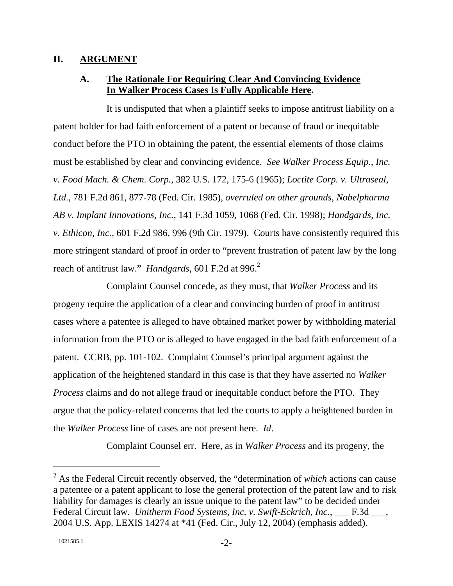#### **II. ARGUMENT**

### **A. The Rationale For Requiring Clear And Convincing Evidence In Walker Process Cases Is Fully Applicable Here.**

It is undisputed that when a plaintiff seeks to impose antitrust liability on a patent holder for bad faith enforcement of a patent or because of fraud or inequitable conduct before the PTO in obtaining the patent, the essential elements of those claims must be established by clear and convincing evidence. *See Walker Process Equip., Inc. v. Food Mach. & Chem. Corp.*, 382 U.S. 172, 175-6 (1965); *Loctite Corp. v. Ultraseal, Ltd.*, 781 F.2d 861, 877-78 (Fed. Cir. 1985), *overruled on other grounds, Nobelpharma AB v. Implant Innovations, Inc.*, 141 F.3d 1059, 1068 (Fed. Cir. 1998); *Handgards, Inc. v. Ethicon, Inc.*, 601 F.2d 986, 996 (9th Cir. 1979). Courts have consistently required this more stringent standard of proof in order to "prevent frustration of patent law by the long reach of antitrust law." *Handgards*, 601 F.2d at 996.<sup>2</sup>

Complaint Counsel concede, as they must, that *Walker Process* and its progeny require the application of a clear and convincing burden of proof in antitrust cases where a patentee is alleged to have obtained market power by withholding material information from the PTO or is alleged to have engaged in the bad faith enforcement of a patent. CCRB, pp. 101-102. Complaint Counsel's principal argument against the application of the heightened standard in this case is that they have asserted no *Walker Process* claims and do not allege fraud or inequitable conduct before the PTO. They argue that the policy-related concerns that led the courts to apply a heightened burden in the *Walker Process* line of cases are not present here. *Id*.

Complaint Counsel err. Here, as in *Walker Process* and its progeny, the

<sup>2</sup> As the Federal Circuit recently observed, the "determination of *which* actions can cause a patentee or a patent applicant to lose the general protection of the patent law and to risk liability for damages is clearly an issue unique to the patent law" to be decided under Federal Circuit law. *Unitherm Food Systems, Inc. v. Swift-Eckrich, Inc.*, \_\_\_ F.3d \_\_\_, 2004 U.S. App. LEXIS 14274 at \*41 (Fed. Cir., July 12, 2004) (emphasis added).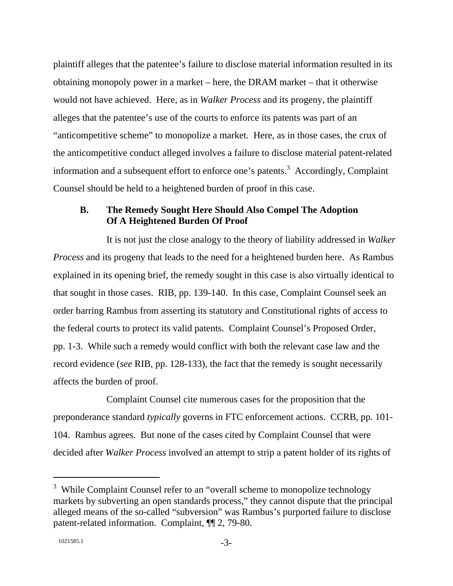plaintiff alleges that the patentee's failure to disclose material information resulted in its obtaining monopoly power in a market – here, the DRAM market – that it otherwise would not have achieved. Here, as in *Walker Process* and its progeny, the plaintiff alleges that the patentee's use of the courts to enforce its patents was part of an "anticompetitive scheme" to monopolize a market. Here, as in those cases, the crux of the anticompetitive conduct alleged involves a failure to disclose material patent-related information and a subsequent effort to enforce one's patents.<sup>3</sup> Accordingly, Complaint Counsel should be held to a heightened burden of proof in this case.

### **B. The Remedy Sought Here Should Also Compel The Adoption Of A Heightened Burden Of Proof**

It is not just the close analogy to the theory of liability addressed in *Walker Process* and its progeny that leads to the need for a heightened burden here. As Rambus explained in its opening brief, the remedy sought in this case is also virtually identical to that sought in those cases. RIB, pp. 139-140. In this case, Complaint Counsel seek an order barring Rambus from asserting its statutory and Constitutional rights of access to the federal courts to protect its valid patents. Complaint Counsel's Proposed Order, pp. 1-3. While such a remedy would conflict with both the relevant case law and the record evidence (*see* RIB, pp. 128-133), the fact that the remedy is sought necessarily affects the burden of proof.

Complaint Counsel cite numerous cases for the proposition that the preponderance standard *typically* governs in FTC enforcement actions. CCRB, pp. 101- 104. Rambus agrees. But none of the cases cited by Complaint Counsel that were decided after *Walker Process* involved an attempt to strip a patent holder of its rights of

 $3$  While Complaint Counsel refer to an "overall scheme to monopolize technology markets by subverting an open standards process," they cannot dispute that the principal alleged means of the so-called "subversion" was Rambus's purported failure to disclose patent-related information. Complaint, ¶¶ 2, 79-80.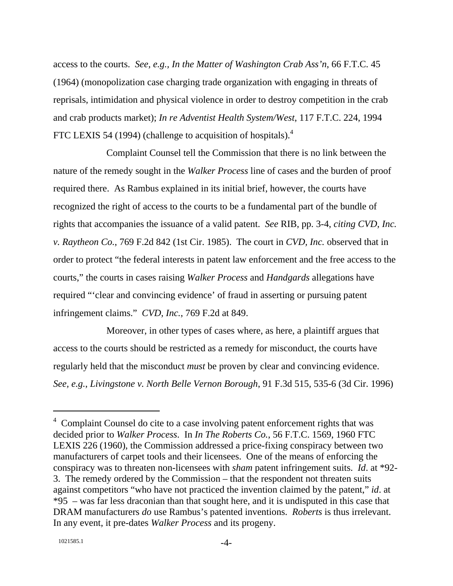access to the courts. *See, e.g., In the Matter of Washington Crab Ass'n*, 66 F.T.C. 45 (1964) (monopolization case charging trade organization with engaging in threats of reprisals, intimidation and physical violence in order to destroy competition in the crab and crab products market); *In re Adventist Health System/West*, 117 F.T.C. 224, 1994 FTC LEXIS 54 (1994) (challenge to acquisition of hospitals).<sup>4</sup>

Complaint Counsel tell the Commission that there is no link between the nature of the remedy sought in the *Walker Process* line of cases and the burden of proof required there. As Rambus explained in its initial brief, however, the courts have recognized the right of access to the courts to be a fundamental part of the bundle of rights that accompanies the issuance of a valid patent. *See* RIB, pp. 3-4, *citing CVD, Inc. v. Raytheon Co.*, 769 F.2d 842 (1st Cir. 1985). The court in *CVD, Inc.* observed that in order to protect "the federal interests in patent law enforcement and the free access to the courts," the courts in cases raising *Walker Process* and *Handgards* allegations have required "'clear and convincing evidence' of fraud in asserting or pursuing patent infringement claims." *CVD, Inc.*, 769 F.2d at 849.

Moreover, in other types of cases where, as here, a plaintiff argues that access to the courts should be restricted as a remedy for misconduct, the courts have regularly held that the misconduct *must* be proven by clear and convincing evidence. *See, e.g.*, *Livingstone v. North Belle Vernon Borough*, 91 F.3d 515, 535-6 (3d Cir. 1996)

<sup>&</sup>lt;sup>4</sup> Complaint Counsel do cite to a case involving patent enforcement rights that was decided prior to *Walker Process*. In *In The Roberts Co.*, 56 F.T.C. 1569, 1960 FTC LEXIS 226 (1960), the Commission addressed a price-fixing conspiracy between two manufacturers of carpet tools and their licensees. One of the means of enforcing the conspiracy was to threaten non-licensees with *sham* patent infringement suits. *Id*. at \*92- 3. The remedy ordered by the Commission – that the respondent not threaten suits against competitors "who have not practiced the invention claimed by the patent," *id*. at \*95 – was far less draconian than that sought here, and it is undisputed in this case that DRAM manufacturers *do* use Rambus's patented inventions. *Roberts* is thus irrelevant. In any event, it pre-dates *Walker Process* and its progeny.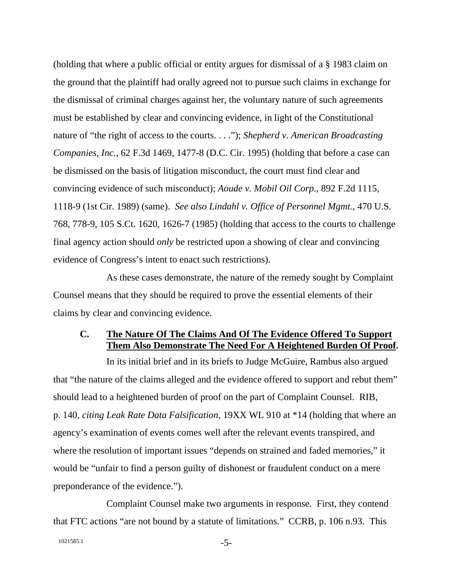(holding that where a public official or entity argues for dismissal of a § 1983 claim on the ground that the plaintiff had orally agreed not to pursue such claims in exchange for the dismissal of criminal charges against her, the voluntary nature of such agreements must be established by clear and convincing evidence, in light of the Constitutional nature of "the right of access to the courts. . . ."); *Shepherd v. American Broadcasting Companies, Inc.*, 62 F.3d 1469, 1477-8 (D.C. Cir. 1995) (holding that before a case can be dismissed on the basis of litigation misconduct, the court must find clear and convincing evidence of such misconduct); *Aoude v. Mobil Oil Corp.*, 892 F.2d 1115, 1118-9 (1st Cir. 1989) (same). *See also Lindahl v. Office of Personnel Mgmt.*, 470 U.S. 768, 778-9, 105 S.Ct. 1620, 1626-7 (1985) (holding that access to the courts to challenge final agency action should *only* be restricted upon a showing of clear and convincing evidence of Congress's intent to enact such restrictions).

As these cases demonstrate, the nature of the remedy sought by Complaint Counsel means that they should be required to prove the essential elements of their claims by clear and convincing evidence.

### **C. The Nature Of The Claims And Of The Evidence Offered To Support Them Also Demonstrate The Need For A Heightened Burden Of Proof.**

In its initial brief and in its briefs to Judge McGuire, Rambus also argued that "the nature of the claims alleged and the evidence offered to support and rebut them" should lead to a heightened burden of proof on the part of Complaint Counsel. RIB, p. 140, *citing Leak Rate Data Falsification*, 19XX WL 910 at \*14 (holding that where an agency's examination of events comes well after the relevant events transpired, and where the resolution of important issues "depends on strained and faded memories," it would be "unfair to find a person guilty of dishonest or fraudulent conduct on a mere preponderance of the evidence.").

Complaint Counsel make two arguments in response. First, they contend that FTC actions "are not bound by a statute of limitations." CCRB, p. 106 n.93. This

```
1021585.1 - 5-
```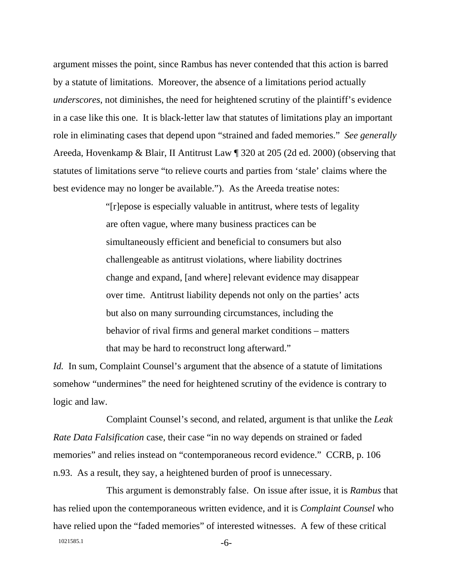argument misses the point, since Rambus has never contended that this action is barred by a statute of limitations. Moreover, the absence of a limitations period actually *underscores*, not diminishes, the need for heightened scrutiny of the plaintiff's evidence in a case like this one. It is black-letter law that statutes of limitations play an important role in eliminating cases that depend upon "strained and faded memories." *See generally* Areeda, Hovenkamp & Blair, II Antitrust Law ¶ 320 at 205 (2d ed. 2000) (observing that statutes of limitations serve "to relieve courts and parties from 'stale' claims where the best evidence may no longer be available."). As the Areeda treatise notes:

> "[r]epose is especially valuable in antitrust, where tests of legality are often vague, where many business practices can be simultaneously efficient and beneficial to consumers but also challengeable as antitrust violations, where liability doctrines change and expand, [and where] relevant evidence may disappear over time. Antitrust liability depends not only on the parties' acts but also on many surrounding circumstances, including the behavior of rival firms and general market conditions – matters that may be hard to reconstruct long afterward."

*Id.* In sum, Complaint Counsel's argument that the absence of a statute of limitations somehow "undermines" the need for heightened scrutiny of the evidence is contrary to logic and law.

Complaint Counsel's second, and related, argument is that unlike the *Leak Rate Data Falsification* case, their case "in no way depends on strained or faded memories" and relies instead on "contemporaneous record evidence." CCRB, p. 106 n.93. As a result, they say, a heightened burden of proof is unnecessary.

 $1021585.1$  -6-This argument is demonstrably false. On issue after issue, it is *Rambus* that has relied upon the contemporaneous written evidence, and it is *Complaint Counsel* who have relied upon the "faded memories" of interested witnesses. A few of these critical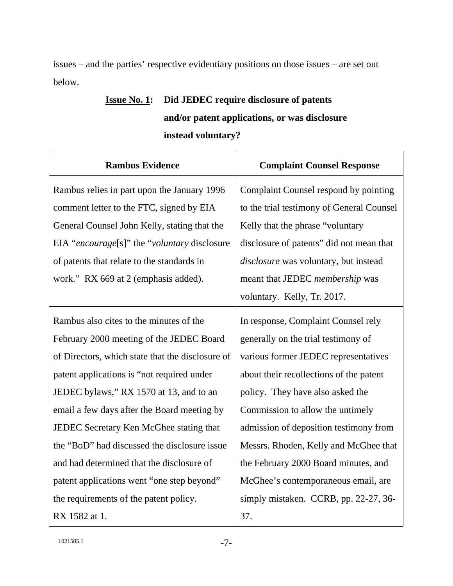issues – and the parties' respective evidentiary positions on those issues – are set out below.

## **Issue No. 1: Did JEDEC require disclosure of patents and/or patent applications, or was disclosure instead voluntary?**

| <b>Rambus Evidence</b>                           | <b>Complaint Counsel Response</b>         |
|--------------------------------------------------|-------------------------------------------|
| Rambus relies in part upon the January 1996      | Complaint Counsel respond by pointing     |
| comment letter to the FTC, signed by EIA         | to the trial testimony of General Counsel |
| General Counsel John Kelly, stating that the     | Kelly that the phrase "voluntary          |
| EIA "encourage[s]" the "voluntary disclosure     | disclosure of patents" did not mean that  |
| of patents that relate to the standards in       | disclosure was voluntary, but instead     |
| work." RX 669 at 2 (emphasis added).             | meant that JEDEC <i>membership</i> was    |
|                                                  | voluntary. Kelly, Tr. 2017.               |
| Rambus also cites to the minutes of the          | In response, Complaint Counsel rely       |
| February 2000 meeting of the JEDEC Board         | generally on the trial testimony of       |
| of Directors, which state that the disclosure of | various former JEDEC representatives      |
| patent applications is "not required under       | about their recollections of the patent   |
| JEDEC bylaws," RX 1570 at 13, and to an          | policy. They have also asked the          |
| email a few days after the Board meeting by      | Commission to allow the untimely          |
| JEDEC Secretary Ken McGhee stating that          | admission of deposition testimony from    |
| the "BoD" had discussed the disclosure issue     | Messrs. Rhoden, Kelly and McGhee that     |
| and had determined that the disclosure of        | the February 2000 Board minutes, and      |
| patent applications went "one step beyond"       | McGhee's contemporaneous email, are       |
| the requirements of the patent policy.           | simply mistaken. CCRB, pp. 22-27, 36-     |
| RX 1582 at 1.                                    | 37.                                       |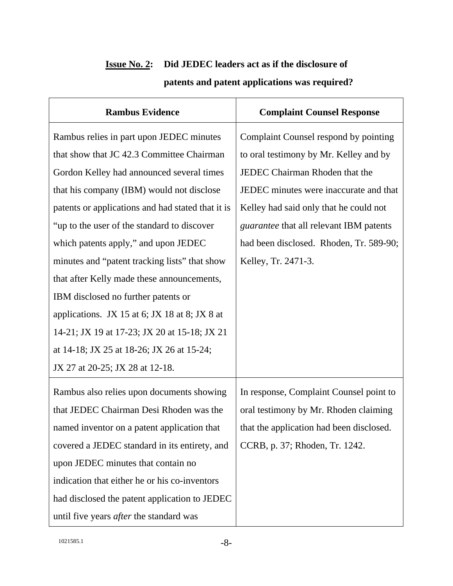| <b>Rambus Evidence</b>                            | <b>Complaint Counsel Response</b>              |
|---------------------------------------------------|------------------------------------------------|
| Rambus relies in part upon JEDEC minutes          | Complaint Counsel respond by pointing          |
| that show that JC 42.3 Committee Chairman         | to oral testimony by Mr. Kelley and by         |
| Gordon Kelley had announced several times         | JEDEC Chairman Rhoden that the                 |
| that his company (IBM) would not disclose         | JEDEC minutes were inaccurate and that         |
| patents or applications and had stated that it is | Kelley had said only that he could not         |
| "up to the user of the standard to discover"      | <i>guarantee</i> that all relevant IBM patents |
| which patents apply," and upon JEDEC              | had been disclosed. Rhoden, Tr. 589-90;        |
| minutes and "patent tracking lists" that show     | Kelley, Tr. 2471-3.                            |
| that after Kelly made these announcements,        |                                                |
| IBM disclosed no further patents or               |                                                |
| applications. JX 15 at 6; JX 18 at 8; JX 8 at     |                                                |
| 14-21; JX 19 at 17-23; JX 20 at 15-18; JX 21      |                                                |
| at 14-18; JX 25 at 18-26; JX 26 at 15-24;         |                                                |
| JX 27 at 20-25; JX 28 at 12-18.                   |                                                |
| Rambus also relies upon documents showing         | In response, Complaint Counsel point to        |
| that JEDEC Chairman Desi Rhoden was the           | oral testimony by Mr. Rhoden claiming          |
| named inventor on a patent application that       | that the application had been disclosed.       |
| covered a JEDEC standard in its entirety, and     | CCRB, p. 37; Rhoden, Tr. 1242.                 |
| upon JEDEC minutes that contain no                |                                                |
| indication that either he or his co-inventors     |                                                |
| had disclosed the patent application to JEDEC     |                                                |
| until five years <i>after</i> the standard was    |                                                |

## **Issue No. 2: Did JEDEC leaders act as if the disclosure of patents and patent applications was required?**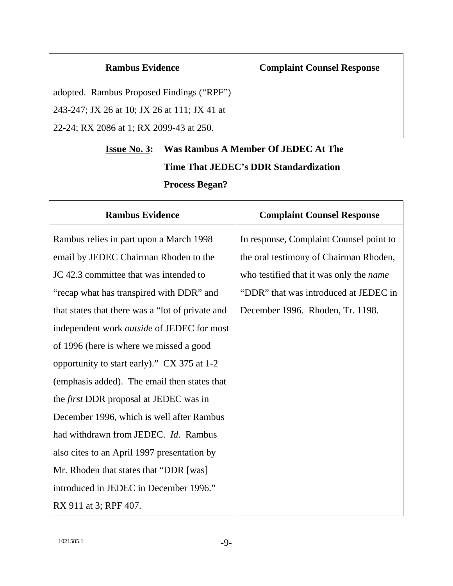| <b>Rambus Evidence</b>                       | <b>Complaint Counsel Response</b> |
|----------------------------------------------|-----------------------------------|
| adopted. Rambus Proposed Findings ("RPF")    |                                   |
| 243-247; JX 26 at 10; JX 26 at 111; JX 41 at |                                   |
| 22-24; RX 2086 at 1; RX 2099-43 at 250.      |                                   |

# **Issue No. 3: Was Rambus A Member Of JEDEC At The Time That JEDEC's DDR Standardization Process Began?**

| <b>Rambus Evidence</b>                            | <b>Complaint Counsel Response</b>              |
|---------------------------------------------------|------------------------------------------------|
| Rambus relies in part upon a March 1998           | In response, Complaint Counsel point to        |
| email by JEDEC Chairman Rhoden to the             | the oral testimony of Chairman Rhoden,         |
| JC 42.3 committee that was intended to            | who testified that it was only the <i>name</i> |
| "recap what has transpired with DDR" and          | "DDR" that was introduced at JEDEC in          |
| that states that there was a "lot of private and  | December 1996. Rhoden, Tr. 1198.               |
| independent work <i>outside</i> of JEDEC for most |                                                |
| of 1996 (here is where we missed a good           |                                                |
| opportunity to start early)." CX 375 at 1-2       |                                                |
| (emphasis added). The email then states that      |                                                |
| the <i>first</i> DDR proposal at JEDEC was in     |                                                |
| December 1996, which is well after Rambus         |                                                |
| had withdrawn from JEDEC. Id. Rambus              |                                                |
| also cites to an April 1997 presentation by       |                                                |
| Mr. Rhoden that states that "DDR [was]            |                                                |
| introduced in JEDEC in December 1996."            |                                                |
| RX 911 at 3; RPF 407.                             |                                                |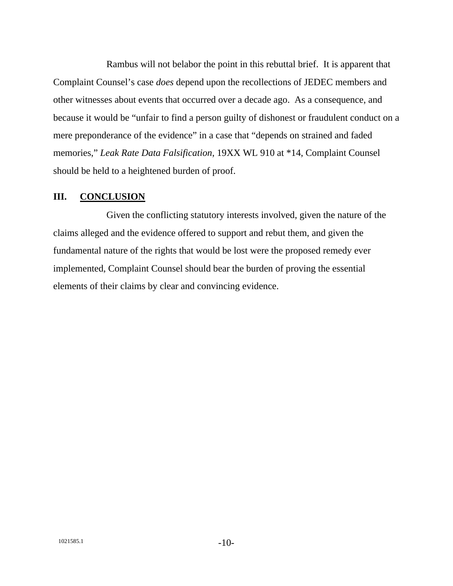Rambus will not belabor the point in this rebuttal brief. It is apparent that Complaint Counsel's case *does* depend upon the recollections of JEDEC members and other witnesses about events that occurred over a decade ago. As a consequence, and because it would be "unfair to find a person guilty of dishonest or fraudulent conduct on a mere preponderance of the evidence" in a case that "depends on strained and faded memories," *Leak Rate Data Falsification*, 19XX WL 910 at \*14, Complaint Counsel should be held to a heightened burden of proof.

### **III. CONCLUSION**

Given the conflicting statutory interests involved, given the nature of the claims alleged and the evidence offered to support and rebut them, and given the fundamental nature of the rights that would be lost were the proposed remedy ever implemented, Complaint Counsel should bear the burden of proving the essential elements of their claims by clear and convincing evidence.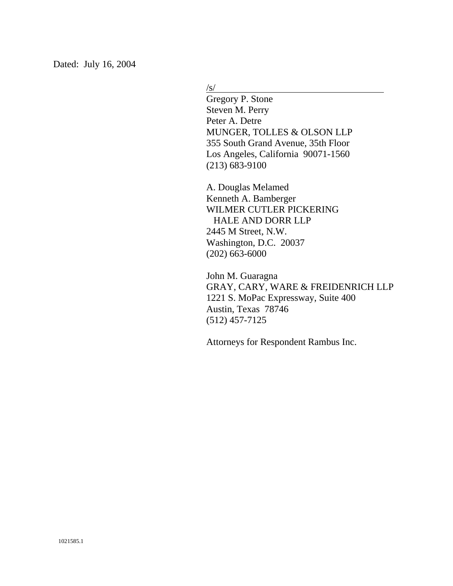Dated: July 16, 2004

 $\sqrt{s/}$ 

Gregory P. Stone Steven M. Perry Peter A. Detre MUNGER, TOLLES & OLSON LLP 355 South Grand Avenue, 35th Floor Los Angeles, California 90071-1560 (213) 683-9100

A. Douglas Melamed Kenneth A. Bamberger WILMER CUTLER PICKERING HALE AND DORR LLP 2445 M Street, N.W. Washington, D.C. 20037 (202) 663-6000

John M. Guaragna GRAY, CARY, WARE & FREIDENRICH LLP 1221 S. MoPac Expressway, Suite 400 Austin, Texas 78746 (512) 457-7125

Attorneys for Respondent Rambus Inc.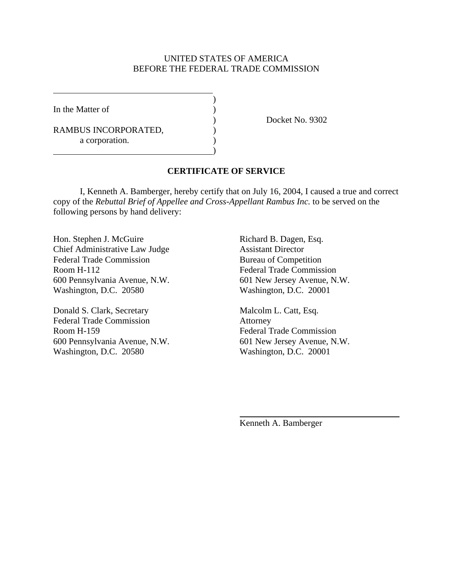#### UNITED STATES OF AMERICA BEFORE THE FEDERAL TRADE COMMISSION

In the Matter of  $\qquad \qquad$  )

 $\overline{a}$ 

RAMBUS INCORPORATED,  $($ a corporation.

 $\overline{\phantom{a}}$ 

 $\hspace{1.5cm}$ ) and  $\hspace{1.5cm}$  and  $\hspace{1.5cm}$  and  $\hspace{1.5cm}$ 

) Docket No. 9302

#### **CERTIFICATE OF SERVICE**

 I, Kenneth A. Bamberger, hereby certify that on July 16, 2004, I caused a true and correct copy of the *Rebuttal Brief of Appellee and Cross-Appellant Rambus Inc.* to be served on the following persons by hand delivery:

Hon. Stephen J. McGuire Richard B. Dagen, Esq. Chief Administrative Law Judge Assistant Director Federal Trade Commission Bureau of Competition Room H-112 Federal Trade Commission 600 Pennsylvania Avenue, N.W. 601 New Jersey Avenue, N.W. Washington, D.C. 20580 Washington, D.C. 20001

Donald S. Clark, Secretary Malcolm L. Catt, Esq. Federal Trade Commission Attorney Room H-159 Federal Trade Commission 600 Pennsylvania Avenue, N.W. 601 New Jersey Avenue, N.W. Washington, D.C. 20580 Washington, D.C. 20001

Kenneth A. Bamberger